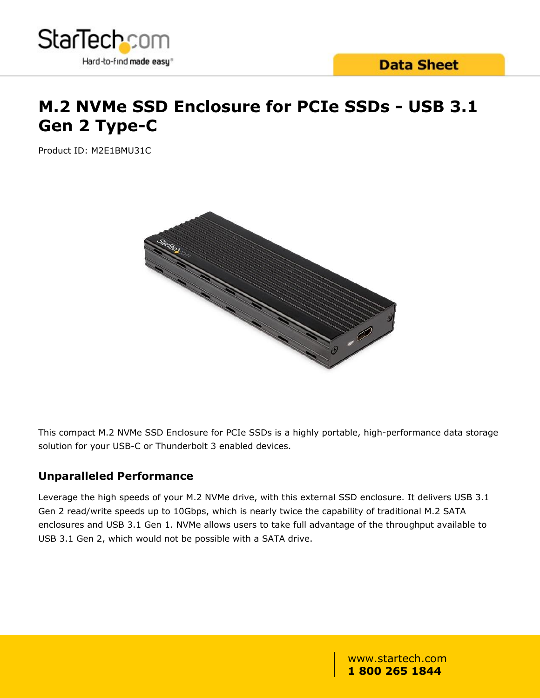

# **M.2 NVMe SSD Enclosure for PCIe SSDs - USB 3.1 Gen 2 Type-C**

Product ID: M2E1BMU31C



This compact M.2 NVMe SSD Enclosure for PCIe SSDs is a highly portable, high-performance data storage solution for your USB-C or Thunderbolt 3 enabled devices.

### **Unparalleled Performance**

Leverage the high speeds of your M.2 NVMe drive, with this external SSD enclosure. It delivers USB 3.1 Gen 2 read/write speeds up to 10Gbps, which is nearly twice the capability of traditional M.2 SATA enclosures and USB 3.1 Gen 1. NVMe allows users to take full advantage of the throughput available to USB 3.1 Gen 2, which would not be possible with a SATA drive.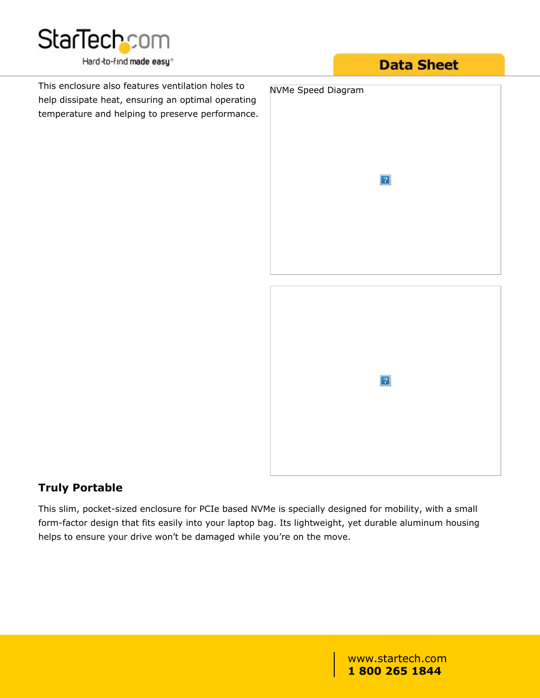

This enclosure also features ventilation holes to NVMe Speed Diagram help dissipate heat, ensuring an optimal operating temperature and helping to preserve performance.

## **Data Sheet**



 $\boldsymbol{?}$ 

### **Truly Portable**

This slim, pocket-sized enclosure for PCIe based NVMe is specially designed for mobility, with a small form-factor design that fits easily into your laptop bag. Its lightweight, yet durable aluminum housing helps to ensure your drive won't be damaged while you're on the move.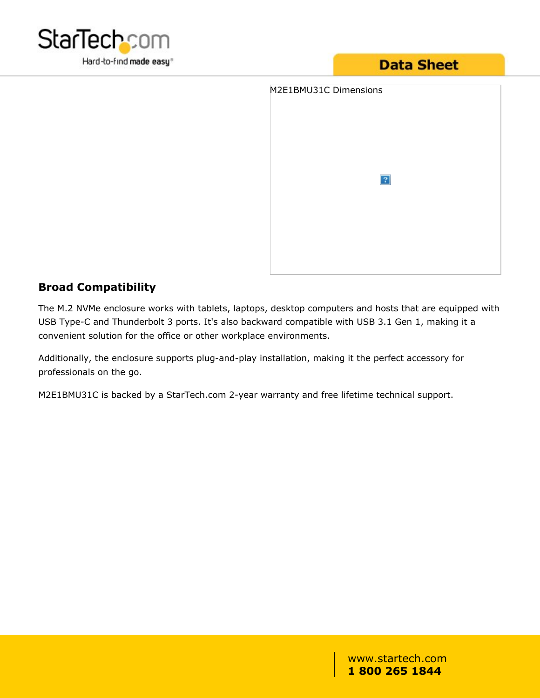

# **Data Sheet**

| M2E1BMU31C Dimensions |             |  |
|-----------------------|-------------|--|
|                       |             |  |
|                       |             |  |
|                       | $\boxed{?}$ |  |
|                       |             |  |
|                       |             |  |
|                       |             |  |
|                       |             |  |

### **Broad Compatibility**

The M.2 NVMe enclosure works with tablets, laptops, desktop computers and hosts that are equipped with USB Type-C and Thunderbolt 3 ports. It's also backward compatible with USB 3.1 Gen 1, making it a convenient solution for the office or other workplace environments.

Additionally, the enclosure supports plug-and-play installation, making it the perfect accessory for professionals on the go.

M2E1BMU31C is backed by a StarTech.com 2-year warranty and free lifetime technical support.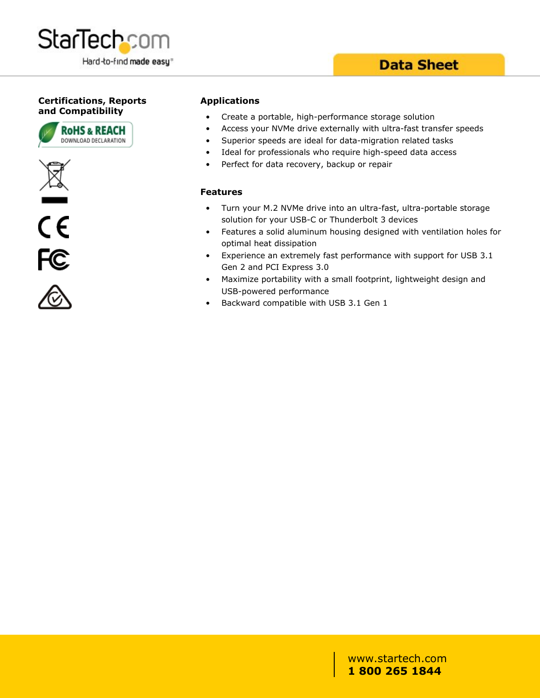

### **Data Sheet**

### **Certifications, Reports and Compatibility**









#### **Applications**

- Create a portable, high-performance storage solution
- Access your NVMe drive externally with ultra-fast transfer speeds
- Superior speeds are ideal for data-migration related tasks
- Ideal for professionals who require high-speed data access
- Perfect for data recovery, backup or repair

#### **Features**

- Turn your M.2 NVMe drive into an ultra-fast, ultra-portable storage solution for your USB-C or Thunderbolt 3 devices
- Features a solid aluminum housing designed with ventilation holes for optimal heat dissipation
- Experience an extremely fast performance with support for USB 3.1 Gen 2 and PCI Express 3.0
- Maximize portability with a small footprint, lightweight design and USB-powered performance
- Backward compatible with USB 3.1 Gen 1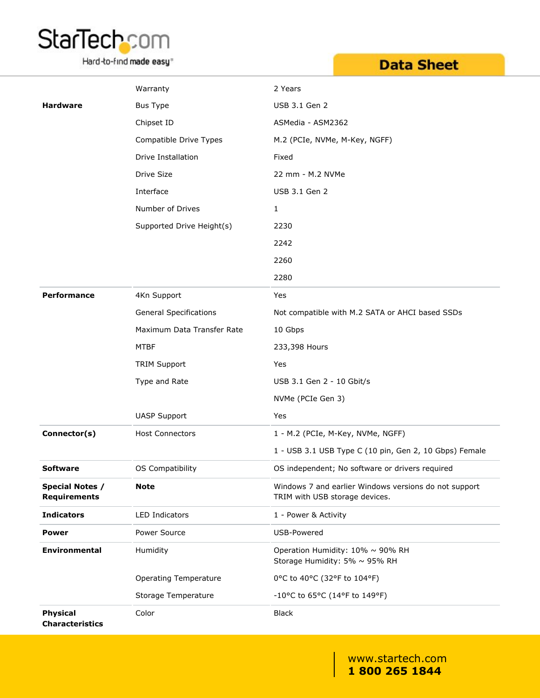

Hard-to-find made easy<sup>®</sup>

# **Data Sheet**

|                                               | Warranty                      | 2 Years                                                                                 |
|-----------------------------------------------|-------------------------------|-----------------------------------------------------------------------------------------|
| <b>Hardware</b>                               | <b>Bus Type</b>               | USB 3.1 Gen 2                                                                           |
|                                               | Chipset ID                    | ASMedia - ASM2362                                                                       |
|                                               | Compatible Drive Types        | M.2 (PCIe, NVMe, M-Key, NGFF)                                                           |
|                                               | Drive Installation            | Fixed                                                                                   |
|                                               | Drive Size                    | 22 mm - M.2 NVMe                                                                        |
|                                               | Interface                     | USB 3.1 Gen 2                                                                           |
|                                               | Number of Drives              | $\mathbf{1}$                                                                            |
|                                               | Supported Drive Height(s)     | 2230                                                                                    |
|                                               |                               | 2242                                                                                    |
|                                               |                               | 2260                                                                                    |
|                                               |                               | 2280                                                                                    |
| Performance                                   | 4Kn Support                   | Yes                                                                                     |
|                                               | <b>General Specifications</b> | Not compatible with M.2 SATA or AHCI based SSDs                                         |
|                                               | Maximum Data Transfer Rate    | 10 Gbps                                                                                 |
|                                               | <b>MTBF</b>                   | 233,398 Hours                                                                           |
|                                               | <b>TRIM Support</b>           | Yes                                                                                     |
|                                               | Type and Rate                 | USB 3.1 Gen 2 - 10 Gbit/s                                                               |
|                                               |                               | NVMe (PCIe Gen 3)                                                                       |
|                                               | <b>UASP Support</b>           | Yes                                                                                     |
| Connector(s)                                  | <b>Host Connectors</b>        | 1 - M.2 (PCIe, M-Key, NVMe, NGFF)                                                       |
|                                               |                               | 1 - USB 3.1 USB Type C (10 pin, Gen 2, 10 Gbps) Female                                  |
| <b>Software</b>                               | OS Compatibility              | OS independent; No software or drivers required                                         |
| <b>Special Notes /</b><br><b>Requirements</b> | <b>Note</b>                   | Windows 7 and earlier Windows versions do not support<br>TRIM with USB storage devices. |
| <b>Indicators</b>                             | LED Indicators                | 1 - Power & Activity                                                                    |
| <b>Power</b>                                  | Power Source                  | USB-Powered                                                                             |
| <b>Environmental</b>                          | Humidity                      | Operation Humidity: 10% ~ 90% RH<br>Storage Humidity: 5% ~ 95% RH                       |
|                                               | <b>Operating Temperature</b>  | 0°C to 40°C (32°F to 104°F)                                                             |
|                                               | Storage Temperature           | -10°C to 65°C (14°F to 149°F)                                                           |
| <b>Physical</b><br><b>Characteristics</b>     | Color                         | <b>Black</b>                                                                            |